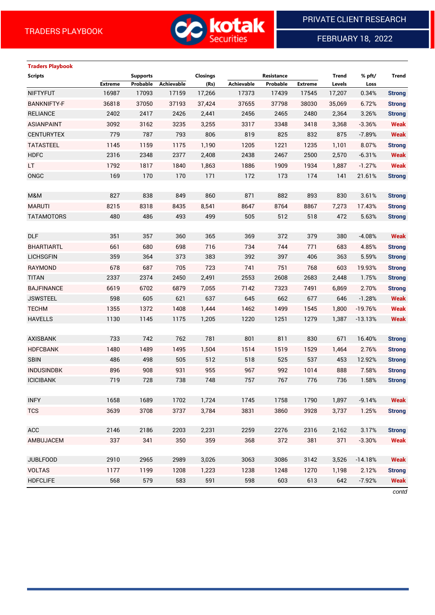

FEBRUARY 18, 2022

# **Traders Playbook**

| <b>Scripts</b>     |                | <b>Supports</b> |                   | Closings |            | Resistance |                | Trend  | % pft/    | Trend         |
|--------------------|----------------|-----------------|-------------------|----------|------------|------------|----------------|--------|-----------|---------------|
|                    | <b>Extreme</b> | Probable        | <b>Achievable</b> | (Rs)     | Achievable | Probable   | <b>Extreme</b> | Levels | Loss      |               |
| <b>NIFTYFUT</b>    | 16987          | 17093           | 17159             | 17,266   | 17373      | 17439      | 17545          | 17,207 | 0.34%     | <b>Strong</b> |
| <b>BANKNIFTY-F</b> | 36818          | 37050           | 37193             | 37,424   | 37655      | 37798      | 38030          | 35,069 | 6.72%     | <b>Strong</b> |
| <b>RELIANCE</b>    | 2402           | 2417            | 2426              | 2,441    | 2456       | 2465       | 2480           | 2,364  | 3.26%     | <b>Strong</b> |
| <b>ASIANPAINT</b>  | 3092           | 3162            | 3235              | 3,255    | 3317       | 3348       | 3418           | 3,368  | $-3.36%$  | <b>Weak</b>   |
| <b>CENTURYTEX</b>  | 779            | 787             | 793               | 806      | 819        | 825        | 832            | 875    | $-7.89%$  | <b>Weak</b>   |
| <b>TATASTEEL</b>   | 1145           | 1159            | 1175              | 1,190    | 1205       | 1221       | 1235           | 1,101  | 8.07%     | <b>Strong</b> |
| <b>HDFC</b>        | 2316           | 2348            | 2377              | 2,408    | 2438       | 2467       | 2500           | 2,570  | $-6.31%$  | <b>Weak</b>   |
| LT.                | 1792           | 1817            | 1840              | 1,863    | 1886       | 1909       | 1934           | 1,887  | $-1.27%$  | <b>Weak</b>   |
| ONGC               | 169            | 170             | 170               | 171      | 172        | 173        | 174            | 141    | 21.61%    | <b>Strong</b> |
|                    |                |                 |                   |          |            |            |                |        |           |               |
| M&M                | 827            | 838             | 849               | 860      | 871        | 882        | 893            | 830    | 3.61%     | <b>Strong</b> |
| <b>MARUTI</b>      | 8215           | 8318            | 8435              | 8,541    | 8647       | 8764       | 8867           | 7,273  | 17.43%    | <b>Strong</b> |
| <b>TATAMOTORS</b>  | 480            | 486             | 493               | 499      | 505        | 512        | 518            | 472    | 5.63%     | <b>Strong</b> |
|                    |                |                 |                   |          |            |            |                |        |           |               |
| <b>DLF</b>         | 351            | 357             | 360               | 365      | 369        | 372        | 379            | 380    | $-4.08%$  | <b>Weak</b>   |
| <b>BHARTIARTL</b>  | 661            | 680             | 698               | 716      | 734        | 744        | 771            | 683    | 4.85%     | <b>Strong</b> |
| <b>LICHSGFIN</b>   | 359            | 364             | 373               | 383      | 392        | 397        | 406            | 363    | 5.59%     | <b>Strong</b> |
| RAYMOND            | 678            | 687             | 705               | 723      | 741        | 751        | 768            | 603    | 19.93%    | <b>Strong</b> |
| <b>TITAN</b>       | 2337           | 2374            | 2450              | 2,491    | 2553       | 2608       | 2683           | 2,448  | 1.75%     | <b>Strong</b> |
| <b>BAJFINANCE</b>  | 6619           | 6702            | 6879              | 7,055    | 7142       | 7323       | 7491           | 6,869  | 2.70%     | <b>Strong</b> |
| <b>JSWSTEEL</b>    | 598            | 605             | 621               | 637      | 645        | 662        | 677            | 646    | $-1.28%$  | <b>Weak</b>   |
| <b>TECHM</b>       | 1355           | 1372            | 1408              | 1,444    | 1462       | 1499       | 1545           | 1,800  | $-19.76%$ | <b>Weak</b>   |
| <b>HAVELLS</b>     | 1130           | 1145            | 1175              | 1,205    | 1220       | 1251       | 1279           | 1,387  | $-13.13%$ | <b>Weak</b>   |
|                    |                |                 |                   |          |            |            |                |        |           |               |
| <b>AXISBANK</b>    | 733            | 742             | 762               | 781      | 801        | 811        | 830            | 671    | 16.40%    | <b>Strong</b> |
| <b>HDFCBANK</b>    | 1480           | 1489            | 1495              | 1,504    | 1514       | 1519       | 1529           | 1,464  | 2.76%     | <b>Strong</b> |
| <b>SBIN</b>        | 486            | 498             | 505               | 512      | 518        | 525        | 537            | 453    | 12.92%    | <b>Strong</b> |
| <b>INDUSINDBK</b>  | 896            | 908             | 931               | 955      | 967        | 992        | 1014           | 888    | 7.58%     | <b>Strong</b> |
| <b>ICICIBANK</b>   | 719            | 728             | 738               | 748      | 757        | 767        | 776            | 736    | 1.58%     | <b>Strong</b> |
|                    |                |                 |                   |          |            |            |                |        |           |               |
| <b>INFY</b>        | 1658           | 1689            | 1702              | 1,724    | 1745       | 1758       | 1790           | 1,897  | $-9.14%$  | Weak          |
| <b>TCS</b>         | 3639           | 3708            | 3737              | 3,784    | 3831       | 3860       | 3928           | 3,737  | 1.25%     | <b>Strong</b> |
|                    |                |                 |                   |          |            |            |                |        |           |               |
| <b>ACC</b>         | 2146           | 2186            | 2203              | 2,231    | 2259       | 2276       | 2316           | 2,162  | 3.17%     | <b>Strong</b> |
| AMBUJACEM          | 337            | 341             | 350               | 359      | 368        | 372        | 381            | 371    | $-3.30%$  | <b>Weak</b>   |
|                    |                |                 |                   |          |            |            |                |        |           |               |
| <b>JUBLFOOD</b>    | 2910           | 2965            | 2989              | 3,026    | 3063       | 3086       | 3142           | 3,526  | $-14.18%$ | <b>Weak</b>   |
| <b>VOLTAS</b>      | 1177           | 1199            | 1208              | 1,223    | 1238       | 1248       | 1270           | 1,198  | 2.12%     | <b>Strong</b> |
| <b>HDFCLIFE</b>    | 568            | 579             | 583               | 591      | 598        | 603        | 613            | 642    | $-7.92%$  | <b>Weak</b>   |

*contd*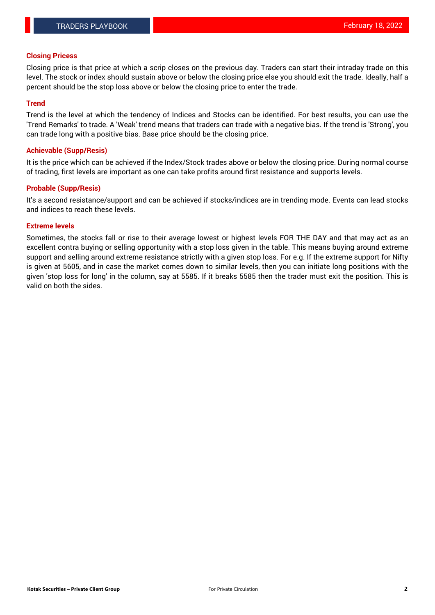## **Closing Pricess**

Closing price is that price at which a scrip closes on the previous day. Traders can start their intraday trade on this level. The stock or index should sustain above or below the closing price else you should exit the trade. Ideally, half a percent should be the stop loss above or below the closing price to enter the trade.

## **Trend**

Trend is the level at which the tendency of Indices and Stocks can be identified. For best results, you can use the 'Trend Remarks' to trade. A 'Weak' trend means that traders can trade with a negative bias. If the trend is 'Strong', you can trade long with a positive bias. Base price should be the closing price.

#### **Achievable (Supp/Resis)**

It is the price which can be achieved if the Index/Stock trades above or below the closing price. During normal course of trading, first levels are important as one can take profits around first resistance and supports levels.

## **Probable (Supp/Resis)**

It's a second resistance/support and can be achieved if stocks/indices are in trending mode. Events can lead stocks and indices to reach these levels.

#### **Extreme levels**

Sometimes, the stocks fall or rise to their average lowest or highest levels FOR THE DAY and that may act as an excellent contra buying or selling opportunity with a stop loss given in the table. This means buying around extreme support and selling around extreme resistance strictly with a given stop loss. For e.g. If the extreme support for Nifty is given at 5605, and in case the market comes down to similar levels, then you can initiate long positions with the given 'stop loss for long' in the column, say at 5585. If it breaks 5585 then the trader must exit the position. This is valid on both the sides.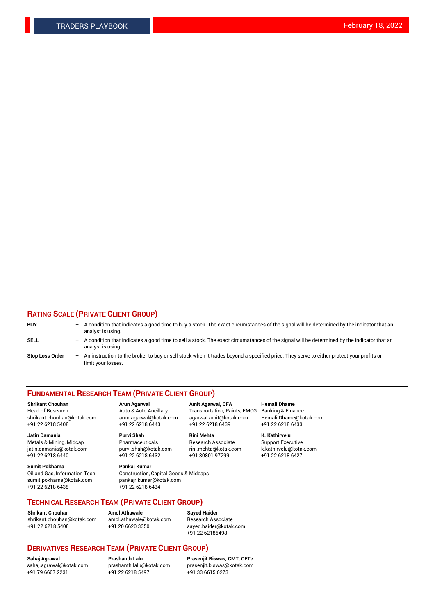## **RATING SCALE (PRIVATE CLIENT GROUP)**

| <b>BUY</b>             | -                 | A condition that indicates a good time to buy a stock. The exact circumstances of the signal will be determined by the indicator that an<br>analyst is using.  |
|------------------------|-------------------|----------------------------------------------------------------------------------------------------------------------------------------------------------------|
| <b>SELL</b>            | -                 | A condition that indicates a good time to sell a stock. The exact circumstances of the signal will be determined by the indicator that an<br>analyst is using. |
| <b>Stop Loss Order</b> | $\qquad \qquad -$ | An instruction to the broker to buy or sell stock when it trades beyond a specified price. They serve to either protect your profits or<br>limit your losses.  |

#### **FUNDAMENTAL RESEARCH TEAM (PRIVATE CLIENT GROUP)**

**Shrikant Chouhan Arun Agarwal Amit Agarwal, CFA Hemali Dhame** Head of Research Auto & Auto Ancillary Transportation, Paints, FMCG Banking & Finance shrikant.chouhan@kotak.com arun.agarwal@kotak.com agarwal.amit@kotak.com Hemali.Dhame@kotak.com

**Jatin Damania Purvi Shah Rini Mehta K. Kathirvelu** Metals & Mining, Midcap **Pharmaceuticals** Research Associate Support Executive jatin.damania@kotak.com [purvi.shah@kotak.com](mailto:purvi.shah@kotak.com) rini.mehta@kotak.com [k.kathirvelu@kotak.com](mailto:k.kathirvelu@kotak.com)  $+91$  22 6218 6440  $+91$  22 6218 6432

**Sumit Pokharna Pankaj Kumar** sumit.pokharna@kotak.com pankajr.kumar@kotak.com +91 22 6218 6438 +91 22 6218 6434

Oil and Gas, Information Tech Construction, Capital Goods & Midcaps

+91 22 6218 5408 +91 22 6218 6443 +91 22 6218 6439 +91 22 6218 6433

**TECHNICAL RESEARCH TEAM (PRIVATE CLIENT GROUP)**

[shrikant.chouhan@kotak.com](mailto:shrikant.chouhan@kotak.com) [amol.athawale@kotak.com](mailto:amol.athawale@kotak.com) Research Associate +91 22 6218 5408 +91 20 6620 3350 [sayed.haider@kotak.com](mailto:sayed.haider@kotak.com)

**Shrikant Chouhan Amol Athawale Sayed Haider**

+91 22 62185498

# **DERIVATIVES RESEARCH TEAM (PRIVATE CLIENT GROUP)**

 $+91$  22 6218 5497

**Sahaj Agrawal Prashanth Lalu Prasenjit Biswas, CMT, CFTe** [sahaj.agrawal@kotak.com](mailto:sahaj.agrawal@kotak.com) [prashanth.lalu@kotak.com](mailto:prashanth.lalu@kotak.com) [prasenjit.biswas@kotak.com](mailto:prasenjit.biswas@kotak.com)